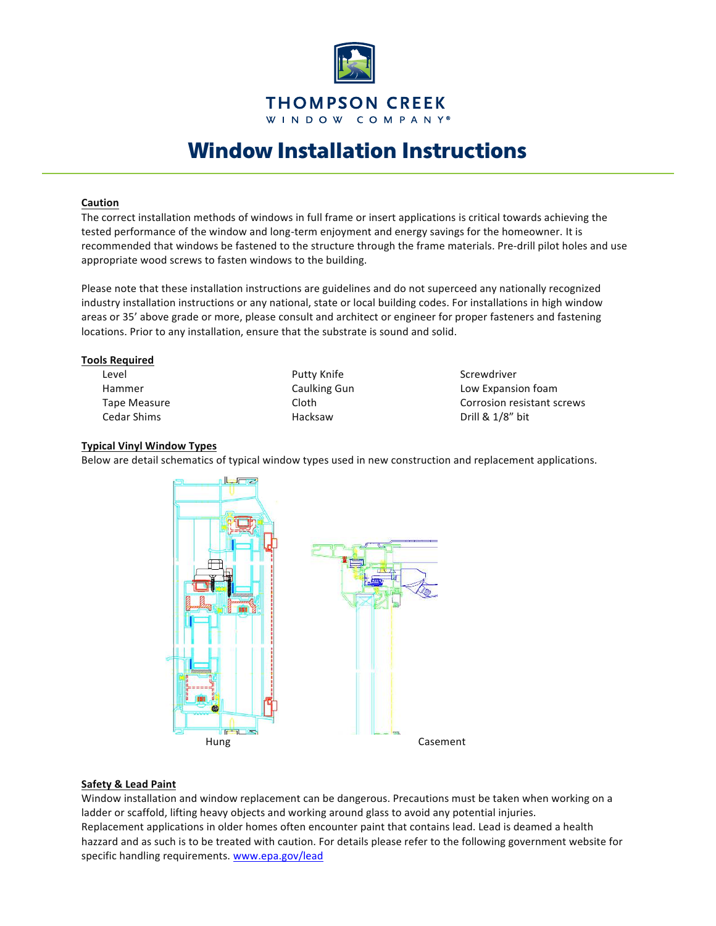

# Window Installation Instructions

## **Caution**

The correct installation methods of windows in full frame or insert applications is critical towards achieving the tested performance of the window and long-term enjoyment and energy savings for the homeowner. It is recommended that windows be fastened to the structure through the frame materials. Pre-drill pilot holes and use appropriate wood screws to fasten windows to the building.

Please note that these installation instructions are guidelines and do not superceed any nationally recognized industry installation instructions or any national, state or local building codes. For installations in high window areas or 35' above grade or more, please consult and architect or engineer for proper fasteners and fastening locations. Prior to any installation, ensure that the substrate is sound and solid.

#### **Tools 
 Required**

Level **Screwdriver COLOGY Putty Knife COLOGY Screwdriver** 

Hammer **Caulking Gun** Caulment Low Expansion foam Tape Measure **Cloth** Cloth **Corrosion** resistant screws Cedar 
 Shims 

 Hacksaw 

 Drill 
 & 
 1/8" 
 bit

#### **Typical Vinyl Window Types**

Below are detail schematics of typical window types used in new construction and replacement applications.



## **Safety & Lead Paint**

Window installation and window replacement can be dangerous. Precautions must be taken when working on a ladder or scaffold, lifting heavy objects and working around glass to avoid any potential injuries. Replacement applications in older homes often encounter paint that contains lead. Lead is deamed a health hazzard and as such is to be treated with caution. For details please refer to the following government website for specific handling requirements. www.epa.gov/lead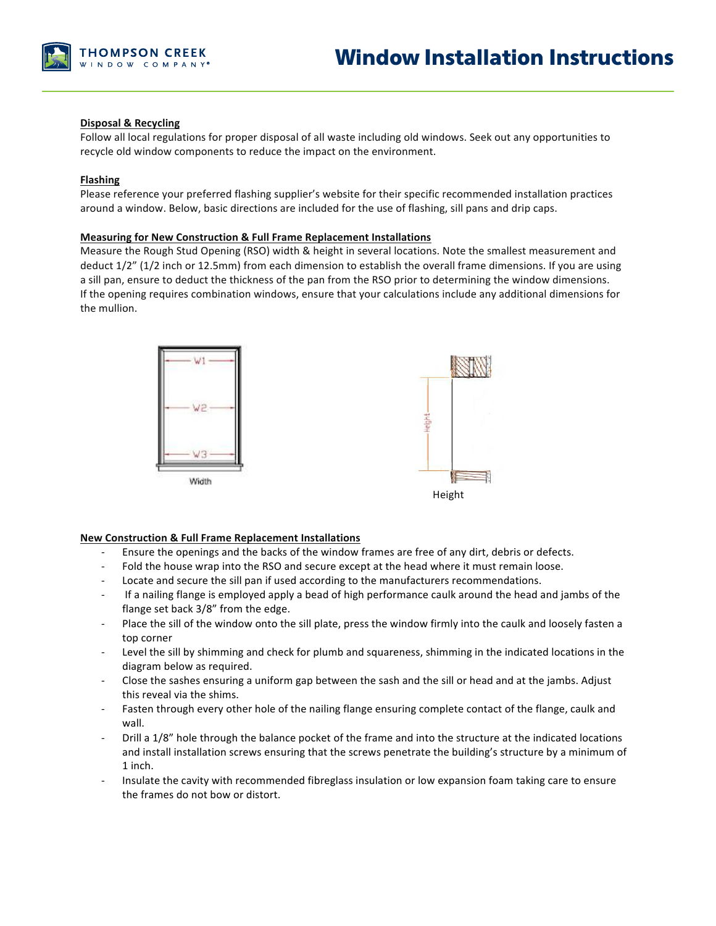

## **Disposal & Recycling**

Follow all local regulations for proper disposal of all waste including old windows. Seek out any opportunities to recycle old window components to reduce the impact on the environment.

## **Flashing**

Please reference your preferred flashing supplier's website for their specific recommended installation practices around a window. Below, basic directions are included for the use of flashing, sill pans and drip caps.

### **Measuring for New Construction & Full Frame Replacement Installations**

Measure the Rough Stud Opening (RSO) width & height in several locations. Note the smallest measurement and deduct  $1/2$ " ( $1/2$  inch or  $12.5$ mm) from each dimension to establish the overall frame dimensions. If you are using a sill pan, ensure to deduct the thickness of the pan from the RSO prior to determining the window dimensions. If the opening requires combination windows, ensure that your calculations include any additional dimensions for the mullion.



### **New Construction & Full Frame Replacement Installations**

- Ensure the openings and the backs of the window frames are free of any dirt, debris or defects.
- Fold the house wrap into the RSO and secure except at the head where it must remain loose.
- Locate and secure the sill pan if used according to the manufacturers recommendations.
- If a nailing flange is employed apply a bead of high performance caulk around the head and jambs of the flange set back 3/8" from the edge.
- Place the sill of the window onto the sill plate, press the window firmly into the caulk and loosely fasten a top corner
- Level the sill by shimming and check for plumb and squareness, shimming in the indicated locations in the diagram below as required.
- Close the sashes ensuring a uniform gap between the sash and the sill or head and at the jambs. Adjust this reveal via the shims.
- Fasten through every other hole of the nailing flange ensuring complete contact of the flange, caulk and wall.
- Drill a 1/8" hole through the balance pocket of the frame and into the structure at the indicated locations and install installation screws ensuring that the screws penetrate the building's structure by a minimum of 1 inch.
- Insulate the cavity with recommended fibreglass insulation or low expansion foam taking care to ensure the frames do not bow or distort.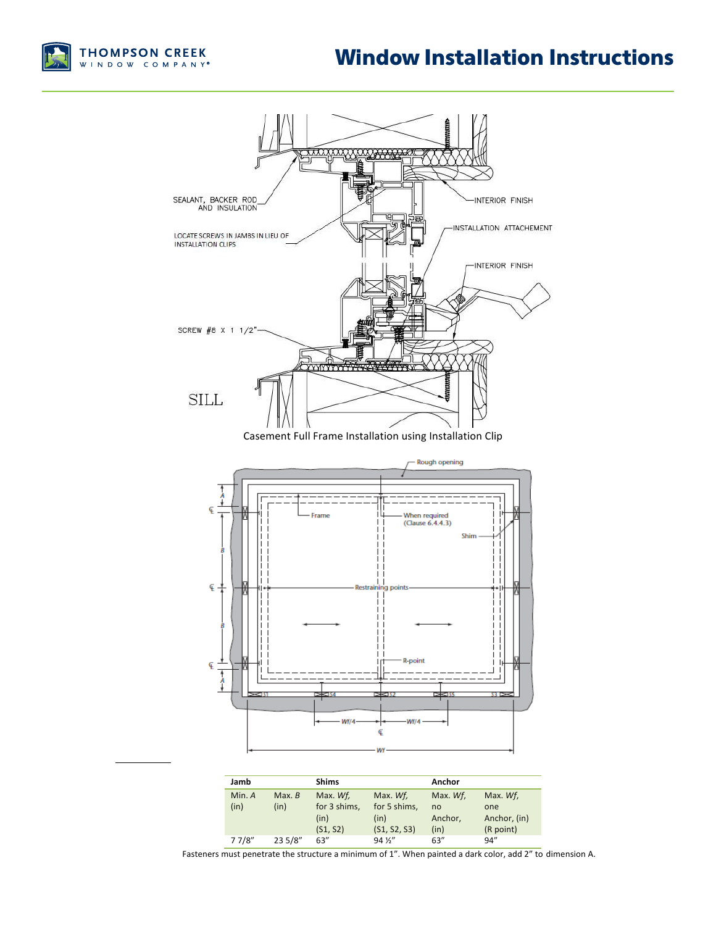# Window Installation Instructions





Fasteners must penetrate the structure a minimum of 1". When painted a dark color, add 2" to dimension A.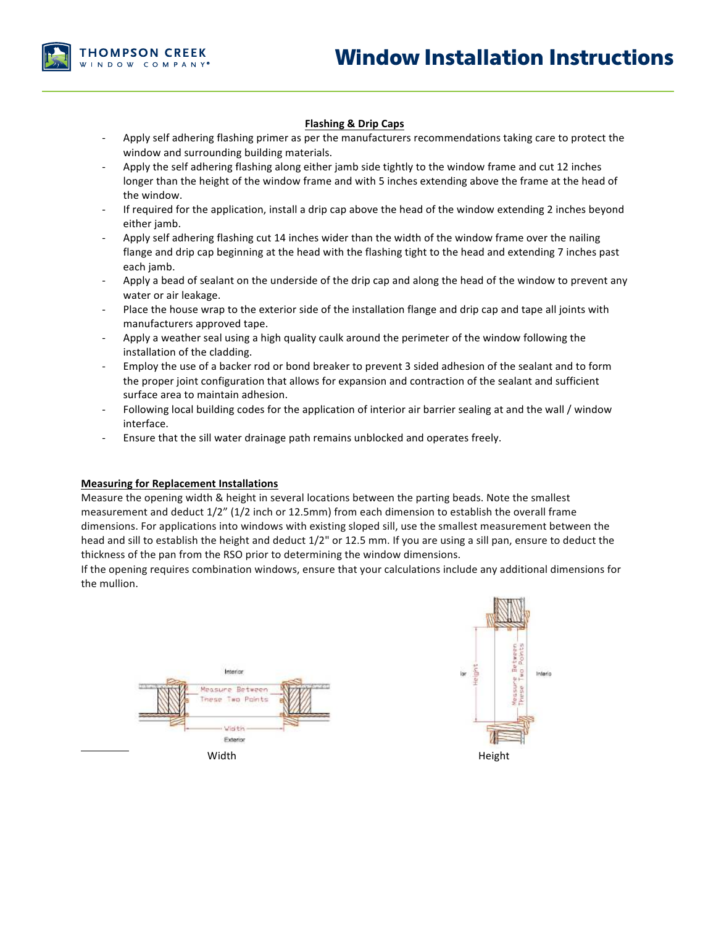

## **Flashing & Drip Caps**

- Apply self adhering flashing primer as per the manufacturers recommendations taking care to protect the window and surrounding building materials.
- Apply the self adhering flashing along either jamb side tightly to the window frame and cut 12 inches longer than the height of the window frame and with 5 inches extending above the frame at the head of the window.
- If required for the application, install a drip cap above the head of the window extending 2 inches beyond either jamb.
- Apply self adhering flashing cut 14 inches wider than the width of the window frame over the nailing flange and drip cap beginning at the head with the flashing tight to the head and extending 7 inches past each jamb.
- Apply a bead of sealant on the underside of the drip cap and along the head of the window to prevent any water or air leakage.
- Place the house wrap to the exterior side of the installation flange and drip cap and tape all joints with manufacturers approved tape.
- Apply a weather seal using a high quality caulk around the perimeter of the window following the installation of the cladding.
- Employ the use of a backer rod or bond breaker to prevent 3 sided adhesion of the sealant and to form the proper joint configuration that allows for expansion and contraction of the sealant and sufficient surface area to maintain adhesion.
- Following local building codes for the application of interior air barrier sealing at and the wall / window interface.
- Ensure that the sill water drainage path remains unblocked and operates freely.

#### **Measuring for Replacement Installations**

Measure the opening width & height in several locations between the parting beads. Note the smallest measurement and deduct  $1/2$ " ( $1/2$  inch or  $12.5$ mm) from each dimension to establish the overall frame dimensions. For applications into windows with existing sloped sill, use the smallest measurement between the head and sill to establish the height and deduct 1/2" or 12.5 mm. If you are using a sill pan, ensure to deduct the thickness of the pan from the RSO prior to determining the window dimensions.

If the opening requires combination windows, ensure that your calculations include any additional dimensions for the mullion.



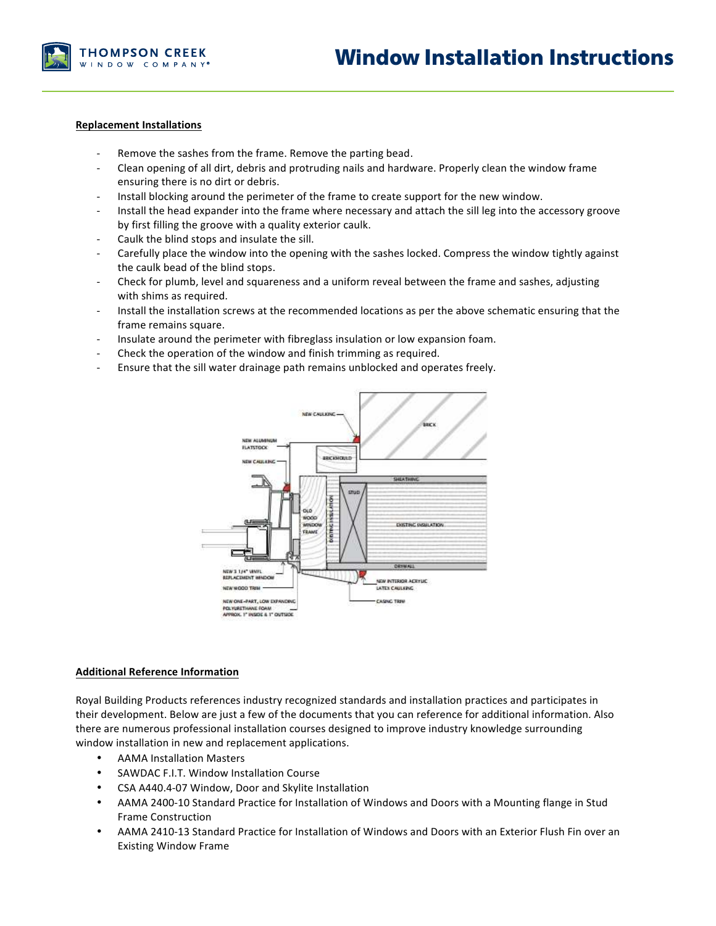

#### **Replacement Installations**

- Remove the sashes from the frame. Remove the parting bead.
- Clean opening of all dirt, debris and protruding nails and hardware. Properly clean the window frame ensuring there is no dirt or debris.
- Install blocking around the perimeter of the frame to create support for the new window.
- Install the head expander into the frame where necessary and attach the sill leg into the accessory groove by first filling the groove with a quality exterior caulk.
- Caulk the blind stops and insulate the sill.
- Carefully place the window into the opening with the sashes locked. Compress the window tightly against the caulk bead of the blind stops.
- Check for plumb, level and squareness and a uniform reveal between the frame and sashes, adjusting with shims as required.
- Install the installation screws at the recommended locations as per the above schematic ensuring that the frame remains square.
- Insulate around the perimeter with fibreglass insulation or low expansion foam.
- Check the operation of the window and finish trimming as required.
- Ensure that the sill water drainage path remains unblocked and operates freely.



#### **Additional Reference Information**

Royal Building Products references industry recognized standards and installation practices and participates in their development. Below are just a few of the documents that you can reference for additional information. Also there are numerous professional installation courses designed to improve industry knowledge surrounding window installation in new and replacement applications.

- AAMA Installation Masters
- SAWDAC F.I.T. Window Installation Course
- CSA A440.4-07 Window, Door and Skylite Installation
- AAMA 2400-10 Standard Practice for Installation of Windows and Doors with a Mounting flange in Stud Frame Construction
- AAMA 2410-13 Standard Practice for Installation of Windows and Doors with an Exterior Flush Fin over an **Existing Window Frame**